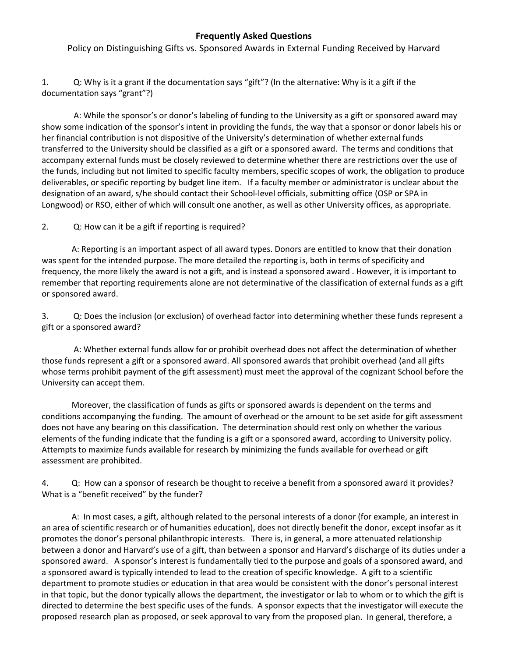## **Frequently Asked Questions**

Policy on Distinguishing Gifts vs. Sponsored Awards in External Funding Received by Harvard

1. Q: Why is it a grant if the documentation says "gift"? (In the alternative: Why is it a gift if the documentation says "grant"?)

A: While the sponsor's or donor's labeling of funding to the University as a gift or sponsored award may show some indication of the sponsor's intent in providing the funds, the way that a sponsor or donor labels his or her financial contribution is not dispositive of the University's determination of whether external funds transferred to the University should be classified as a gift or a sponsored award. The terms and conditions that accompany external funds must be closely reviewed to determine whether there are restrictions over the use of the funds, including but not limited to specific faculty members, specific scopes of work, the obligation to produce deliverables, or specific reporting by budget line item. If a faculty member or administrator is unclear about the designation of an award, s/he should contact their School‐level officials, submitting office (OSP or SPA in Longwood) or RSO, either of which will consult one another, as well as other University offices, as appropriate.

2. Q: How can it be a gift if reporting is required?

A: Reporting is an important aspect of all award types. Donors are entitled to know that their donation was spent for the intended purpose. The more detailed the reporting is, both in terms of specificity and frequency, the more likely the award is not a gift, and is instead a sponsored award . However, it is important to remember that reporting requirements alone are not determinative of the classification of external funds as a gift or sponsored award.

3. Q: Does the inclusion (or exclusion) of overhead factor into determining whether these funds represent a gift or a sponsored award?

A: Whether external funds allow for or prohibit overhead does not affect the determination of whether those funds represent a gift or a sponsored award. All sponsored awards that prohibit overhead (and all gifts whose terms prohibit payment of the gift assessment) must meet the approval of the cognizant School before the University can accept them.

Moreover, the classification of funds as gifts or sponsored awards is dependent on the terms and conditions accompanying the funding. The amount of overhead or the amount to be set aside for gift assessment does not have any bearing on this classification. The determination should rest only on whether the various elements of the funding indicate that the funding is a gift or a sponsored award, according to University policy. Attempts to maximize funds available for research by minimizing the funds available for overhead or gift assessment are prohibited.

4. Q: How can a sponsor of research be thought to receive a benefit from a sponsored award it provides? What is a "benefit received" by the funder?

A: In most cases, a gift, although related to the personal interests of a donor (for example, an interest in an area of scientific research or of humanities education), does not directly benefit the donor, except insofar as it promotes the donor's personal philanthropic interests. There is, in general, a more attenuated relationship between a donor and Harvard's use of a gift, than between a sponsor and Harvard's discharge of its duties under a sponsored award. A sponsor's interest is fundamentally tied to the purpose and goals of a sponsored award, and a sponsored award is typically intended to lead to the creation of specific knowledge. A gift to a scientific department to promote studies or education in that area would be consistent with the donor's personal interest in that topic, but the donor typically allows the department, the investigator or lab to whom or to which the gift is directed to determine the best specific uses of the funds. A sponsor expects that the investigator will execute the proposed research plan as proposed, or seek approval to vary from the proposed plan. In general, therefore, a